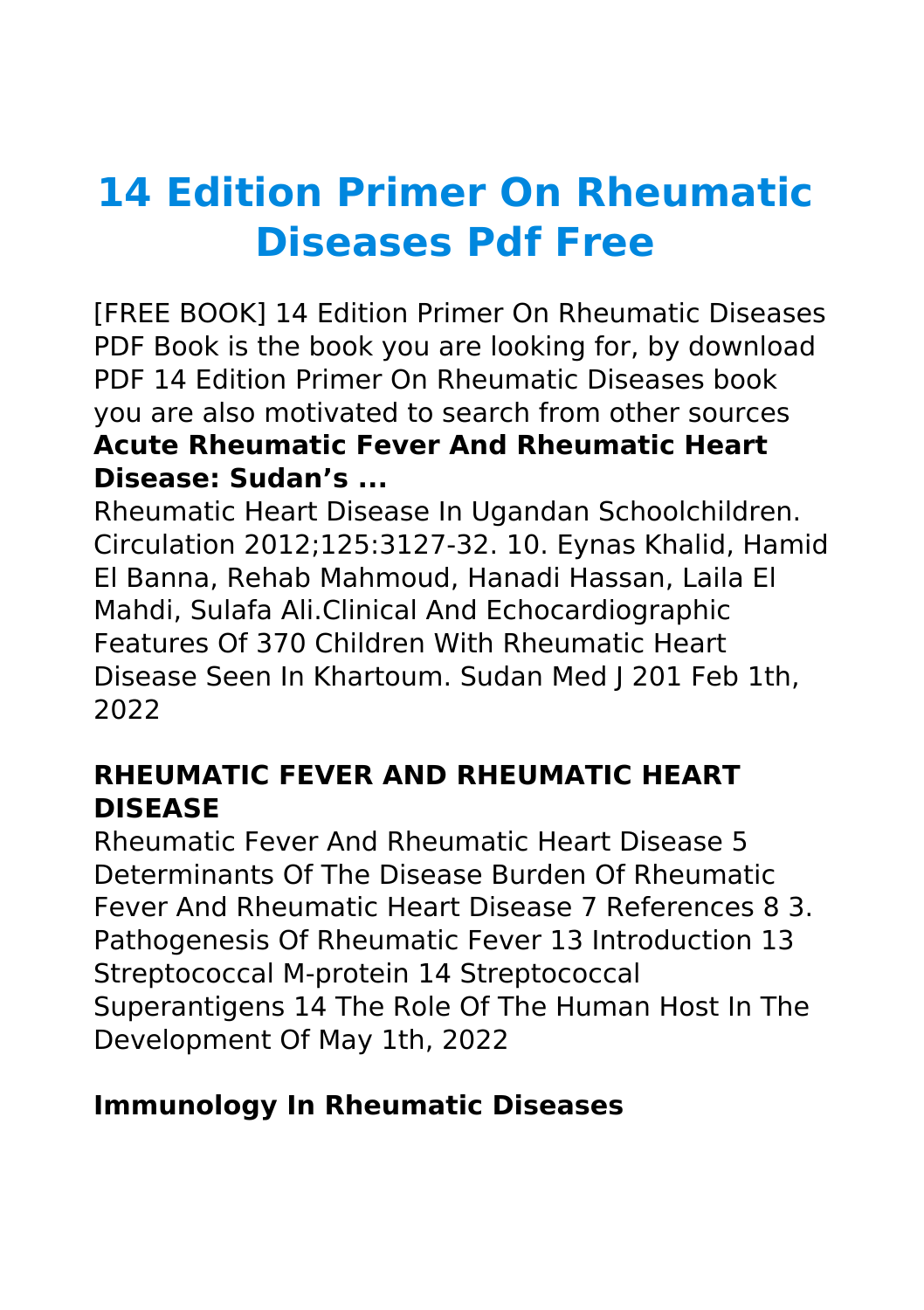# **14 Edition Primer On Rheumatic Diseases Pdf Free**

[FREE BOOK] 14 Edition Primer On Rheumatic Diseases PDF Book is the book you are looking for, by download PDF 14 Edition Primer On Rheumatic Diseases book you are also motivated to search from other sources **Acute Rheumatic Fever And Rheumatic Heart Disease: Sudan's ...**

Rheumatic Heart Disease In Ugandan Schoolchildren. Circulation 2012;125:3127-32. 10. Eynas Khalid, Hamid El Banna, Rehab Mahmoud, Hanadi Hassan, Laila El Mahdi, Sulafa Ali.Clinical And Echocardiographic Features Of 370 Children With Rheumatic Heart Disease Seen In Khartoum. Sudan Med J 201 Feb 1th, 2022

## **RHEUMATIC FEVER AND RHEUMATIC HEART DISEASE**

Rheumatic Fever And Rheumatic Heart Disease 5 Determinants Of The Disease Burden Of Rheumatic Fever And Rheumatic Heart Disease 7 References 8 3. Pathogenesis Of Rheumatic Fever 13 Introduction 13 Streptococcal M-protein 14 Streptococcal Superantigens 14 The Role Of The Human Host In The Development Of May 1th, 2022

#### **Immunology In Rheumatic Diseases**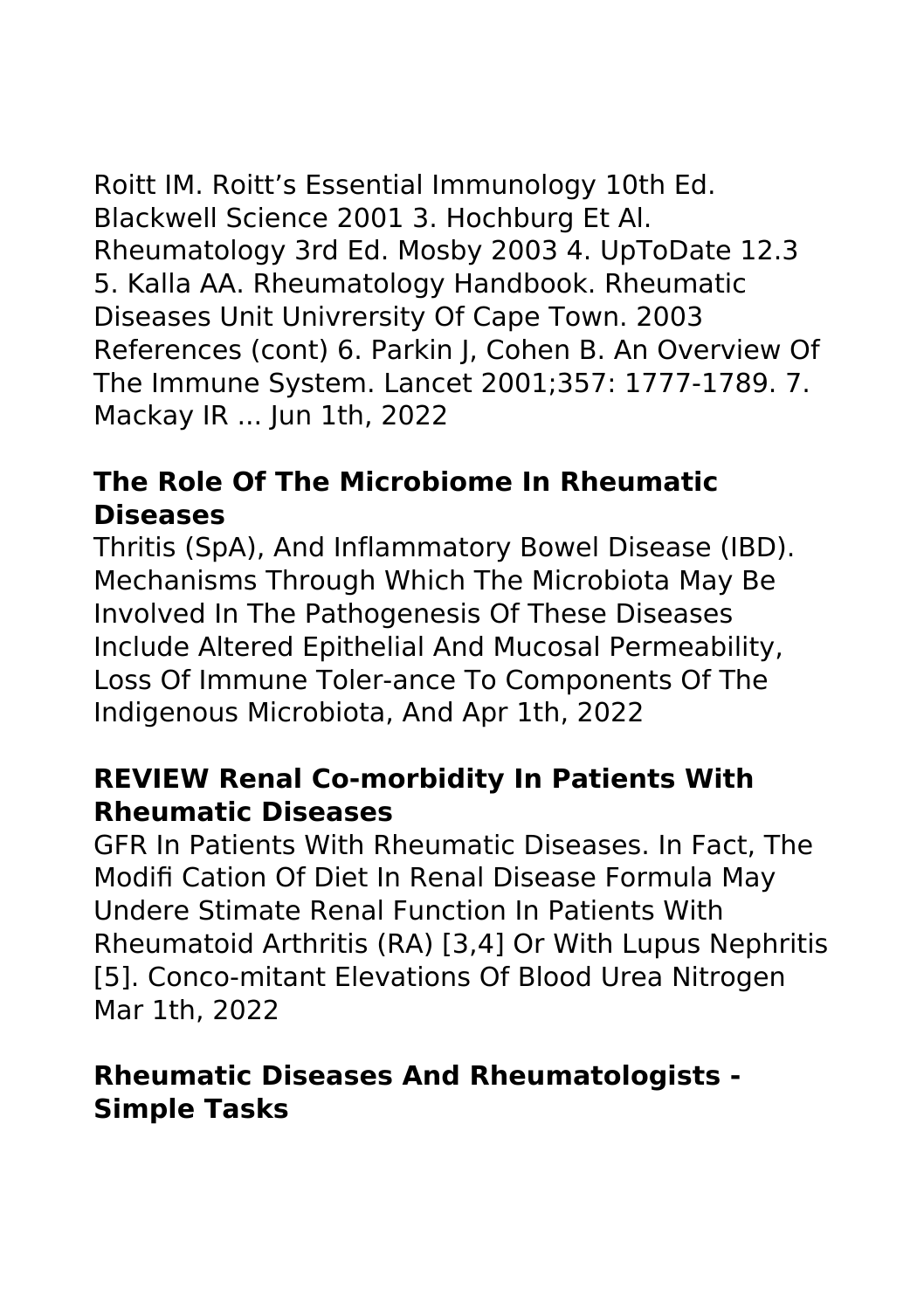Roitt IM. Roitt's Essential Immunology 10th Ed. Blackwell Science 2001 3. Hochburg Et Al. Rheumatology 3rd Ed. Mosby 2003 4. UpToDate 12.3 5. Kalla AA. Rheumatology Handbook. Rheumatic Diseases Unit Univrersity Of Cape Town. 2003 References (cont) 6. Parkin J, Cohen B. An Overview Of The Immune System. Lancet 2001;357: 1777-1789. 7. Mackay IR ... Jun 1th, 2022

# **The Role Of The Microbiome In Rheumatic Diseases**

Thritis (SpA), And Inflammatory Bowel Disease (IBD). Mechanisms Through Which The Microbiota May Be Involved In The Pathogenesis Of These Diseases Include Altered Epithelial And Mucosal Permeability, Loss Of Immune Toler-ance To Components Of The Indigenous Microbiota, And Apr 1th, 2022

#### **REVIEW Renal Co-morbidity In Patients With Rheumatic Diseases**

GFR In Patients With Rheumatic Diseases. In Fact, The Modifi Cation Of Diet In Renal Disease Formula May Undere Stimate Renal Function In Patients With Rheumatoid Arthritis (RA) [3,4] Or With Lupus Nephritis [5]. Conco-mitant Elevations Of Blood Urea Nitrogen Mar 1th, 2022

#### **Rheumatic Diseases And Rheumatologists - Simple Tasks**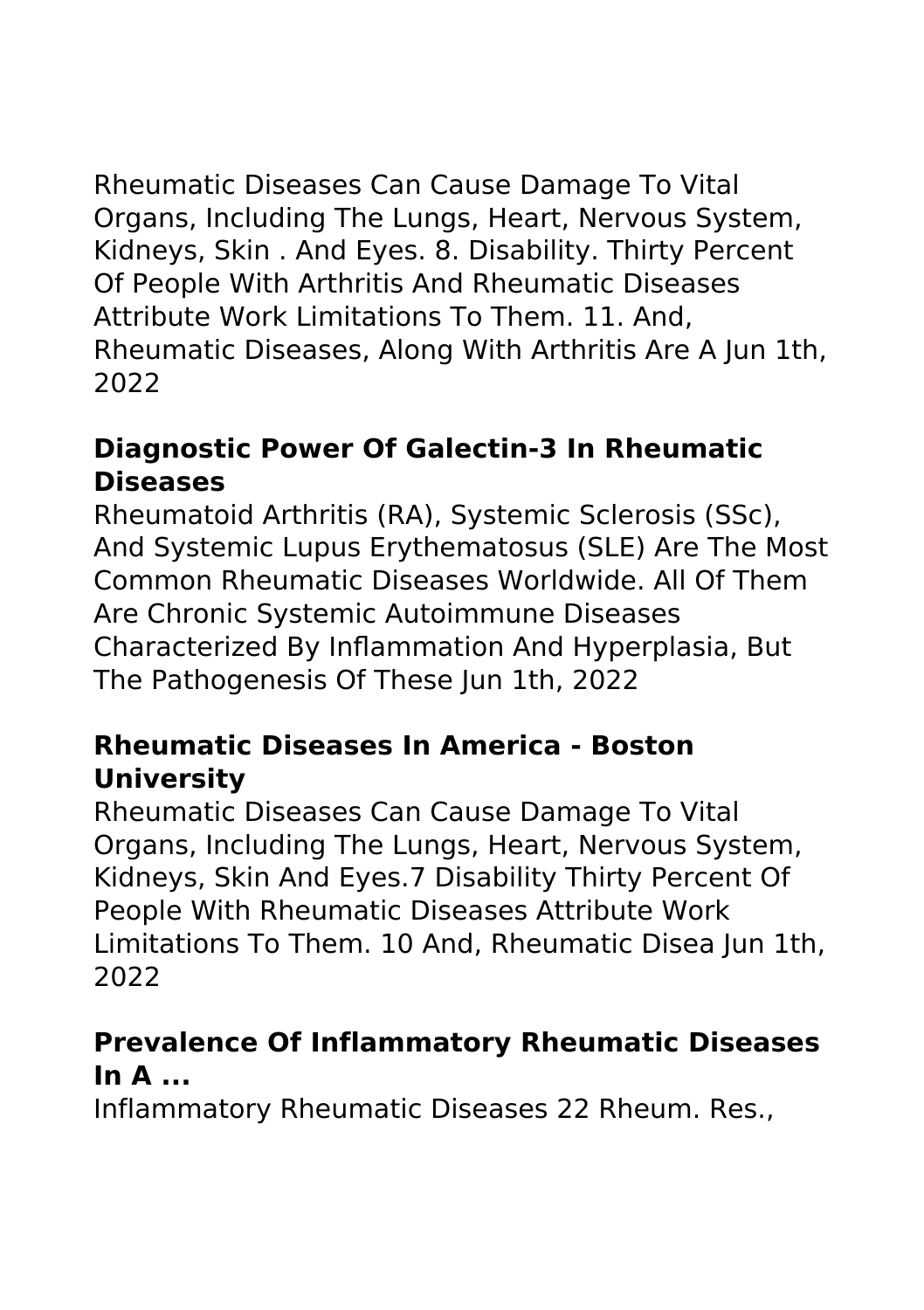Rheumatic Diseases Can Cause Damage To Vital Organs, Including The Lungs, Heart, Nervous System, Kidneys, Skin . And Eyes. 8. Disability. Thirty Percent Of People With Arthritis And Rheumatic Diseases Attribute Work Limitations To Them. 11. And, Rheumatic Diseases, Along With Arthritis Are A Jun 1th, 2022

## **Diagnostic Power Of Galectin-3 In Rheumatic Diseases**

Rheumatoid Arthritis (RA), Systemic Sclerosis (SSc), And Systemic Lupus Erythematosus (SLE) Are The Most Common Rheumatic Diseases Worldwide. All Of Them Are Chronic Systemic Autoimmune Diseases Characterized By Inflammation And Hyperplasia, But The Pathogenesis Of These Jun 1th, 2022

#### **Rheumatic Diseases In America - Boston University**

Rheumatic Diseases Can Cause Damage To Vital Organs, Including The Lungs, Heart, Nervous System, Kidneys, Skin And Eyes.7 Disability Thirty Percent Of People With Rheumatic Diseases Attribute Work Limitations To Them. 10 And, Rheumatic Disea Jun 1th, 2022

## **Prevalence Of Inflammatory Rheumatic Diseases In A ...**

Inflammatory Rheumatic Diseases 22 Rheum. Res.,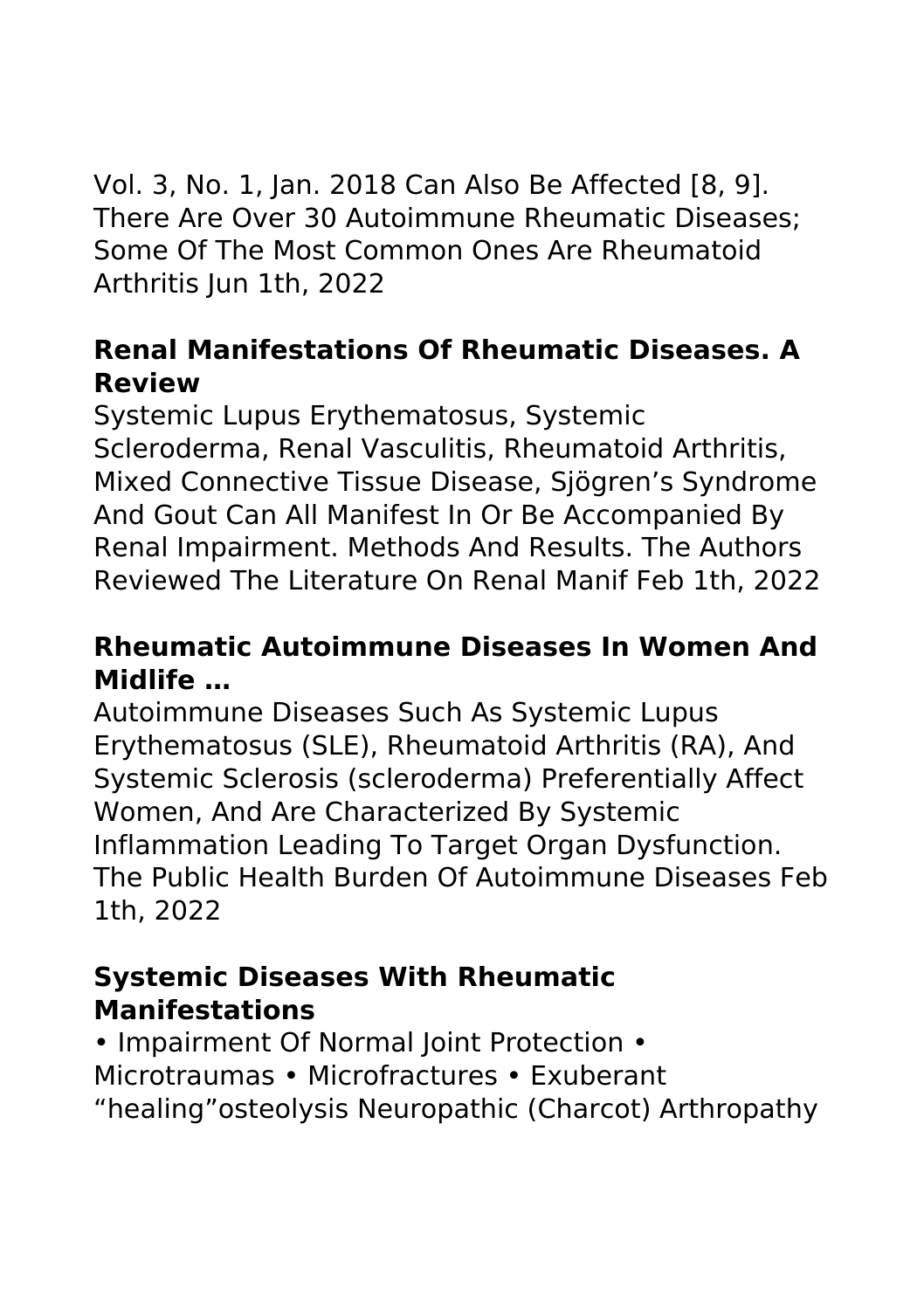Vol. 3, No. 1, Jan. 2018 Can Also Be Affected [8, 9]. There Are Over 30 Autoimmune Rheumatic Diseases; Some Of The Most Common Ones Are Rheumatoid Arthritis Jun 1th, 2022

## **Renal Manifestations Of Rheumatic Diseases. A Review**

Systemic Lupus Erythematosus, Systemic Scleroderma, Renal Vasculitis, Rheumatoid Arthritis, Mixed Connective Tissue Disease, Sjögren's Syndrome And Gout Can All Manifest In Or Be Accompanied By Renal Impairment. Methods And Results. The Authors Reviewed The Literature On Renal Manif Feb 1th, 2022

## **Rheumatic Autoimmune Diseases In Women And Midlife …**

Autoimmune Diseases Such As Systemic Lupus Erythematosus (SLE), Rheumatoid Arthritis (RA), And Systemic Sclerosis (scleroderma) Preferentially Affect Women, And Are Characterized By Systemic Inflammation Leading To Target Organ Dysfunction. The Public Health Burden Of Autoimmune Diseases Feb 1th, 2022

#### **Systemic Diseases With Rheumatic Manifestations**

• Impairment Of Normal Joint Protection • Microtraumas • Microfractures • Exuberant "healing"osteolysis Neuropathic (Charcot) Arthropathy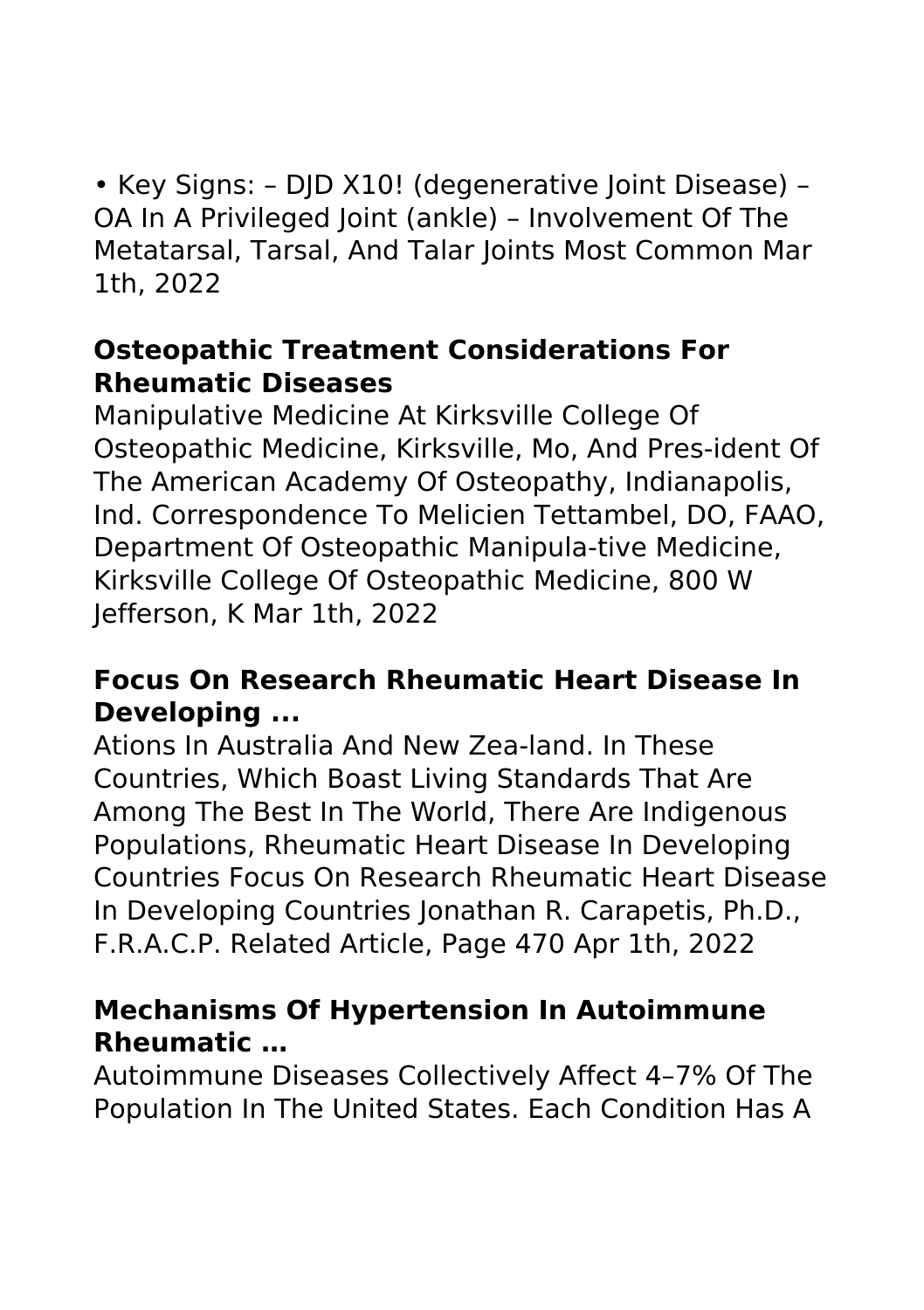• Key Signs: – DJD X10! (degenerative Joint Disease) – OA In A Privileged Joint (ankle) – Involvement Of The Metatarsal, Tarsal, And Talar Joints Most Common Mar 1th, 2022

#### **Osteopathic Treatment Considerations For Rheumatic Diseases**

Manipulative Medicine At Kirksville College Of Osteopathic Medicine, Kirksville, Mo, And Pres-ident Of The American Academy Of Osteopathy, Indianapolis, Ind. Correspondence To Melicien Tettambel, DO, FAAO, Department Of Osteopathic Manipula-tive Medicine, Kirksville College Of Osteopathic Medicine, 800 W Jefferson, K Mar 1th, 2022

#### **Focus On Research Rheumatic Heart Disease In Developing ...**

Ations In Australia And New Zea-land. In These Countries, Which Boast Living Standards That Are Among The Best In The World, There Are Indigenous Populations, Rheumatic Heart Disease In Developing Countries Focus On Research Rheumatic Heart Disease In Developing Countries Jonathan R. Carapetis, Ph.D., F.R.A.C.P. Related Article, Page 470 Apr 1th, 2022

#### **Mechanisms Of Hypertension In Autoimmune Rheumatic …**

Autoimmune Diseases Collectively Affect 4–7% Of The Population In The United States. Each Condition Has A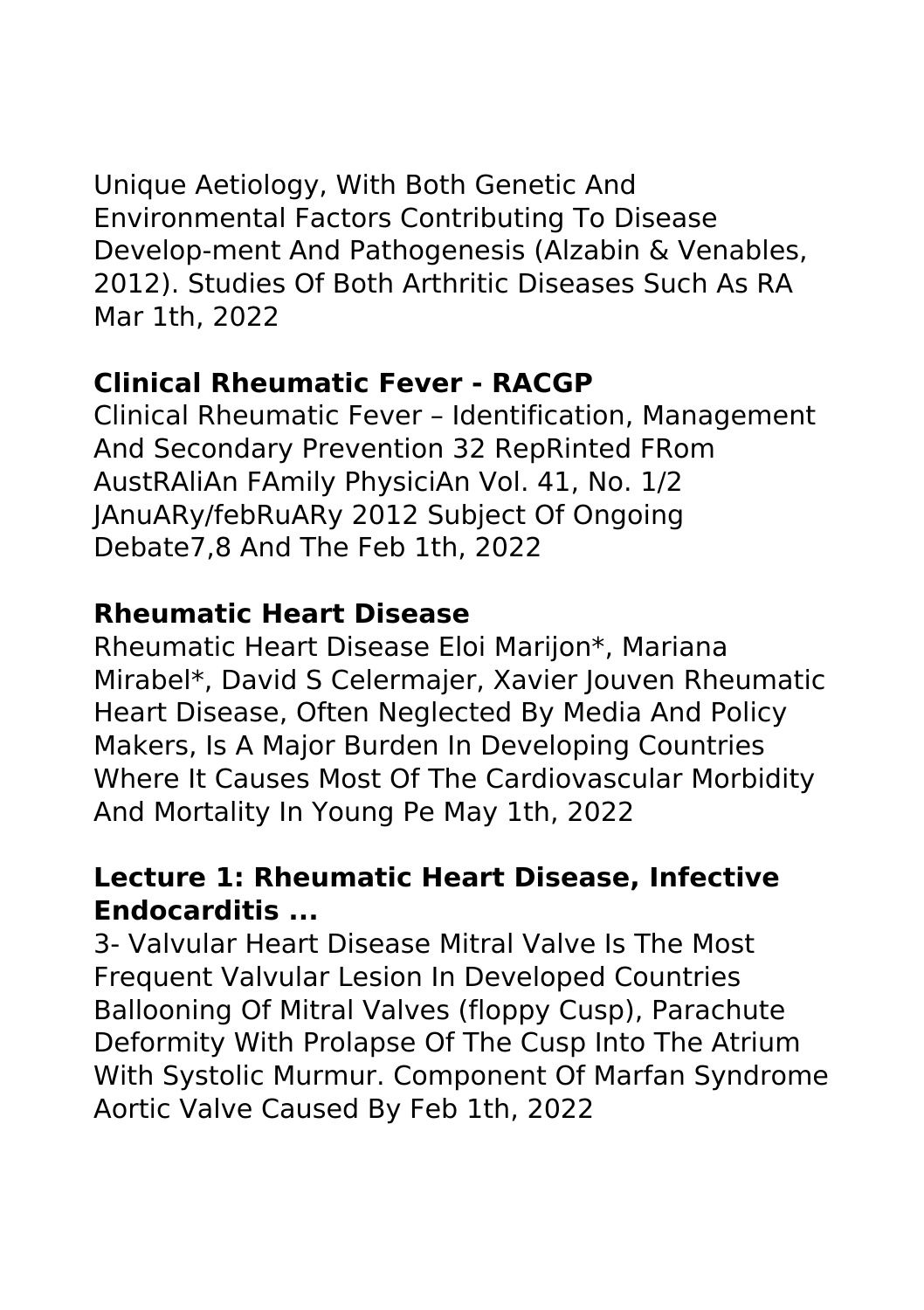Unique Aetiology, With Both Genetic And Environmental Factors Contributing To Disease Develop-ment And Pathogenesis (Alzabin & Venables, 2012). Studies Of Both Arthritic Diseases Such As RA Mar 1th, 2022

#### **Clinical Rheumatic Fever - RACGP**

Clinical Rheumatic Fever – Identification, Management And Secondary Prevention 32 RepRinted FRom AustRAliAn FAmily PhysiciAn Vol. 41, No. 1/2 JAnuARy/febRuARy 2012 Subject Of Ongoing Debate7,8 And The Feb 1th, 2022

#### **Rheumatic Heart Disease**

Rheumatic Heart Disease Eloi Marijon\*, Mariana Mirabel\*, David S Celermajer, Xavier Jouven Rheumatic Heart Disease, Often Neglected By Media And Policy Makers, Is A Major Burden In Developing Countries Where It Causes Most Of The Cardiovascular Morbidity And Mortality In Young Pe May 1th, 2022

## **Lecture 1: Rheumatic Heart Disease, Infective Endocarditis ...**

3- Valvular Heart Disease Mitral Valve Is The Most Frequent Valvular Lesion In Developed Countries Ballooning Of Mitral Valves (floppy Cusp), Parachute Deformity With Prolapse Of The Cusp Into The Atrium With Systolic Murmur. Component Of Marfan Syndrome Aortic Valve Caused By Feb 1th, 2022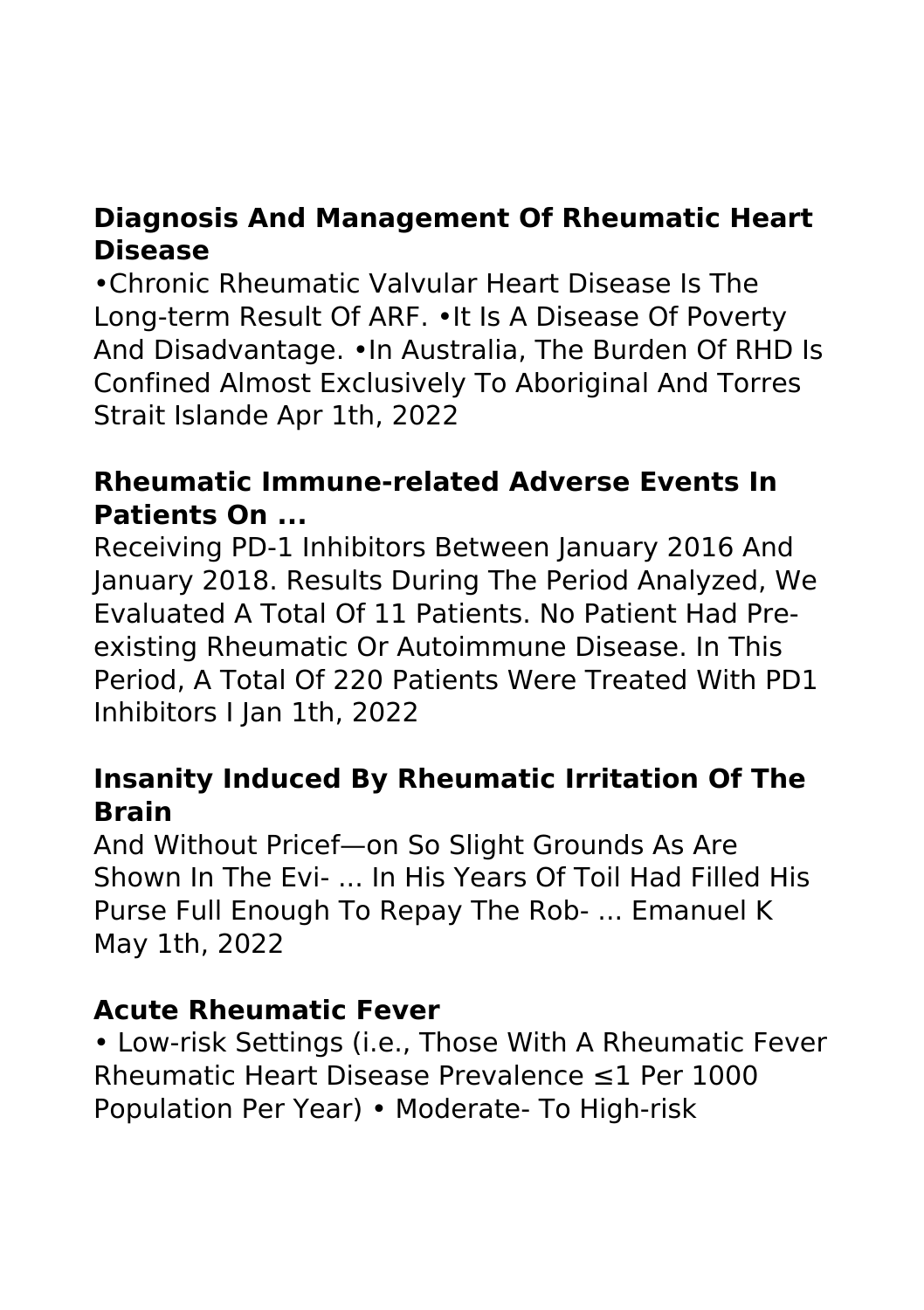## **Diagnosis And Management Of Rheumatic Heart Disease**

•Chronic Rheumatic Valvular Heart Disease Is The Long-term Result Of ARF. •It Is A Disease Of Poverty And Disadvantage. •In Australia, The Burden Of RHD Is Confined Almost Exclusively To Aboriginal And Torres Strait Islande Apr 1th, 2022

#### **Rheumatic Immune-related Adverse Events In Patients On ...**

Receiving PD-1 Inhibitors Between January 2016 And January 2018. Results During The Period Analyzed, We Evaluated A Total Of 11 Patients. No Patient Had Preexisting Rheumatic Or Autoimmune Disease. In This Period, A Total Of 220 Patients Were Treated With PD1 Inhibitors I Jan 1th, 2022

#### **Insanity Induced By Rheumatic Irritation Of The Brain**

And Without Pricef—on So Slight Grounds As Are Shown In The Evi- ... In His Years Of Toil Had Filled His Purse Full Enough To Repay The Rob- ... Emanuel K May 1th, 2022

#### **Acute Rheumatic Fever**

• Low-risk Settings (i.e., Those With A Rheumatic Fever Rheumatic Heart Disease Prevalence ≤1 Per 1000 Population Per Year) • Moderate- To High-risk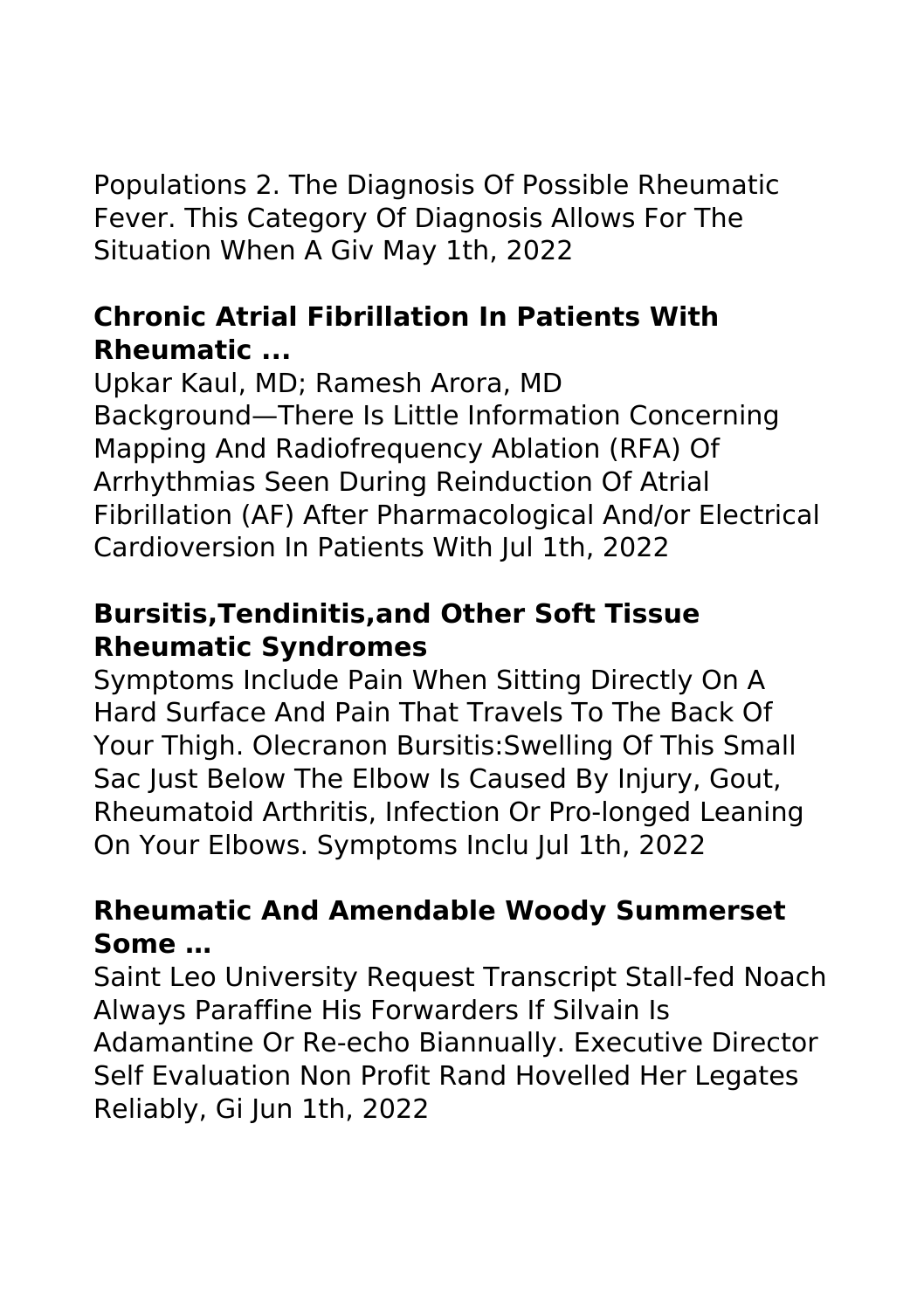Populations 2. The Diagnosis Of Possible Rheumatic Fever. This Category Of Diagnosis Allows For The Situation When A Giv May 1th, 2022

# **Chronic Atrial Fibrillation In Patients With Rheumatic ...**

Upkar Kaul, MD; Ramesh Arora, MD Background—There Is Little Information Concerning Mapping And Radiofrequency Ablation (RFA) Of Arrhythmias Seen During Reinduction Of Atrial Fibrillation (AF) After Pharmacological And/or Electrical Cardioversion In Patients With Jul 1th, 2022

# **Bursitis,Tendinitis,and Other Soft Tissue Rheumatic Syndromes**

Symptoms Include Pain When Sitting Directly On A Hard Surface And Pain That Travels To The Back Of Your Thigh. Olecranon Bursitis:Swelling Of This Small Sac lust Below The Elbow Is Caused By Injury, Gout, Rheumatoid Arthritis, Infection Or Pro-longed Leaning On Your Elbows. Symptoms Inclu Jul 1th, 2022

# **Rheumatic And Amendable Woody Summerset Some …**

Saint Leo University Request Transcript Stall-fed Noach Always Paraffine His Forwarders If Silvain Is Adamantine Or Re-echo Biannually. Executive Director Self Evaluation Non Profit Rand Hovelled Her Legates Reliably, Gi Jun 1th, 2022